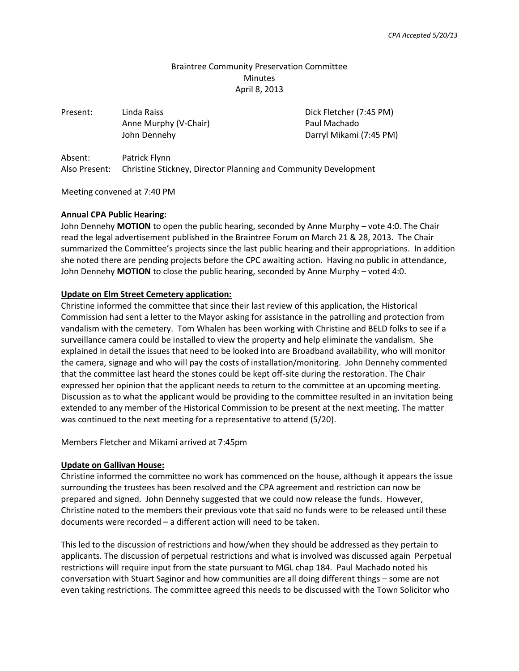# Braintree Community Preservation Committee **Minutes** April 8, 2013

| Present:      | Linda Raiss                                                     | Dick Fletcher (7:45 PM) |
|---------------|-----------------------------------------------------------------|-------------------------|
|               | Anne Murphy (V-Chair)                                           | Paul Machado            |
|               | John Dennehy                                                    | Darryl Mikami (7:45 PM) |
| Absent:       | Patrick Flynn                                                   |                         |
| Also Present: | Christine Stickney, Director Planning and Community Development |                         |

Meeting convened at 7:40 PM

#### **Annual CPA Public Hearing:**

John Dennehy **MOTION** to open the public hearing, seconded by Anne Murphy – vote 4:0. The Chair read the legal advertisement published in the Braintree Forum on March 21 & 28, 2013. The Chair summarized the Committee's projects since the last public hearing and their appropriations. In addition she noted there are pending projects before the CPC awaiting action. Having no public in attendance, John Dennehy **MOTION** to close the public hearing, seconded by Anne Murphy – voted 4:0.

#### **Update on Elm Street Cemetery application:**

Christine informed the committee that since their last review of this application, the Historical Commission had sent a letter to the Mayor asking for assistance in the patrolling and protection from vandalism with the cemetery. Tom Whalen has been working with Christine and BELD folks to see if a surveillance camera could be installed to view the property and help eliminate the vandalism. She explained in detail the issues that need to be looked into are Broadband availability, who will monitor the camera, signage and who will pay the costs of installation/monitoring. John Dennehy commented that the committee last heard the stones could be kept off-site during the restoration. The Chair expressed her opinion that the applicant needs to return to the committee at an upcoming meeting. Discussion as to what the applicant would be providing to the committee resulted in an invitation being extended to any member of the Historical Commission to be present at the next meeting. The matter was continued to the next meeting for a representative to attend (5/20).

Members Fletcher and Mikami arrived at 7:45pm

### **Update on Gallivan House:**

Christine informed the committee no work has commenced on the house, although it appears the issue surrounding the trustees has been resolved and the CPA agreement and restriction can now be prepared and signed. John Dennehy suggested that we could now release the funds. However, Christine noted to the members their previous vote that said no funds were to be released until these documents were recorded – a different action will need to be taken.

This led to the discussion of restrictions and how/when they should be addressed as they pertain to applicants. The discussion of perpetual restrictions and what is involved was discussed again Perpetual restrictions will require input from the state pursuant to MGL chap 184. Paul Machado noted his conversation with Stuart Saginor and how communities are all doing different things – some are not even taking restrictions. The committee agreed this needs to be discussed with the Town Solicitor who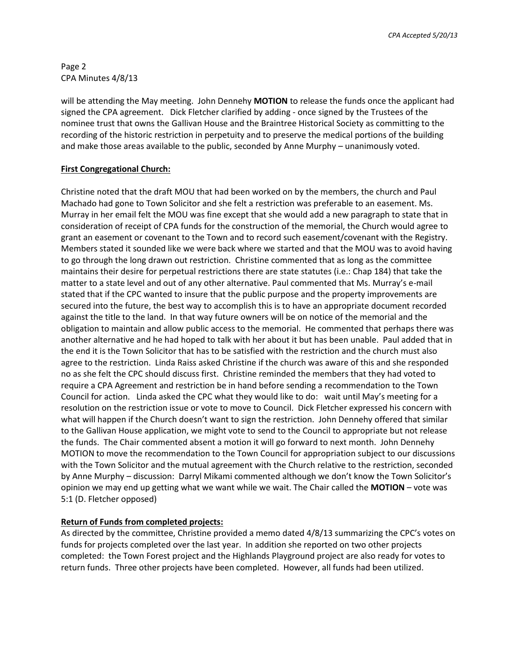*CPA Accepted 5/20/13*

Page 2 CPA Minutes 4/8/13

will be attending the May meeting. John Dennehy **MOTION** to release the funds once the applicant had signed the CPA agreement. Dick Fletcher clarified by adding - once signed by the Trustees of the nominee trust that owns the Gallivan House and the Braintree Historical Society as committing to the recording of the historic restriction in perpetuity and to preserve the medical portions of the building and make those areas available to the public, seconded by Anne Murphy – unanimously voted.

# **First Congregational Church:**

Christine noted that the draft MOU that had been worked on by the members, the church and Paul Machado had gone to Town Solicitor and she felt a restriction was preferable to an easement. Ms. Murray in her email felt the MOU was fine except that she would add a new paragraph to state that in consideration of receipt of CPA funds for the construction of the memorial, the Church would agree to grant an easement or covenant to the Town and to record such easement/covenant with the Registry. Members stated it sounded like we were back where we started and that the MOU was to avoid having to go through the long drawn out restriction. Christine commented that as long as the committee maintains their desire for perpetual restrictions there are state statutes (i.e.: Chap 184) that take the matter to a state level and out of any other alternative. Paul commented that Ms. Murray's e-mail stated that if the CPC wanted to insure that the public purpose and the property improvements are secured into the future, the best way to accomplish this is to have an appropriate document recorded against the title to the land. In that way future owners will be on notice of the memorial and the obligation to maintain and allow public access to the memorial. He commented that perhaps there was another alternative and he had hoped to talk with her about it but has been unable. Paul added that in the end it is the Town Solicitor that has to be satisfied with the restriction and the church must also agree to the restriction. Linda Raiss asked Christine if the church was aware of this and she responded no as she felt the CPC should discuss first. Christine reminded the members that they had voted to require a CPA Agreement and restriction be in hand before sending a recommendation to the Town Council for action. Linda asked the CPC what they would like to do: wait until May's meeting for a resolution on the restriction issue or vote to move to Council. Dick Fletcher expressed his concern with what will happen if the Church doesn't want to sign the restriction. John Dennehy offered that similar to the Gallivan House application, we might vote to send to the Council to appropriate but not release the funds. The Chair commented absent a motion it will go forward to next month. John Dennehy MOTION to move the recommendation to the Town Council for appropriation subject to our discussions with the Town Solicitor and the mutual agreement with the Church relative to the restriction, seconded by Anne Murphy – discussion: Darryl Mikami commented although we don't know the Town Solicitor's opinion we may end up getting what we want while we wait. The Chair called the **MOTION** – vote was 5:1 (D. Fletcher opposed)

# **Return of Funds from completed projects:**

As directed by the committee, Christine provided a memo dated 4/8/13 summarizing the CPC's votes on funds for projects completed over the last year. In addition she reported on two other projects completed: the Town Forest project and the Highlands Playground project are also ready for votes to return funds. Three other projects have been completed. However, all funds had been utilized.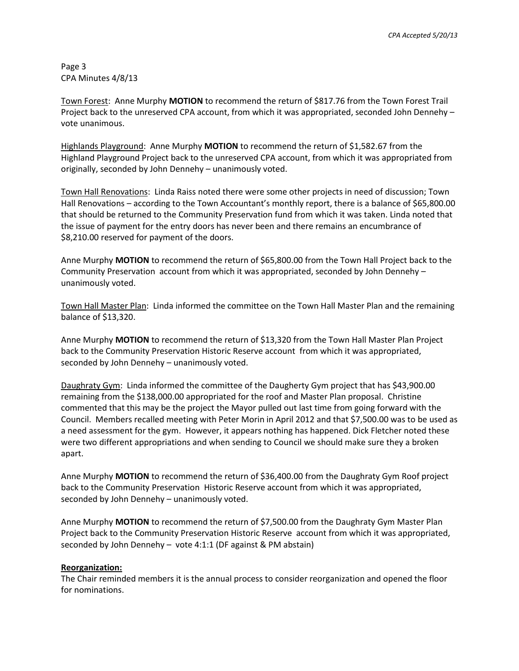Page 3 CPA Minutes 4/8/13

Town Forest: Anne Murphy **MOTION** to recommend the return of \$817.76 from the Town Forest Trail Project back to the unreserved CPA account, from which it was appropriated, seconded John Dennehy – vote unanimous.

Highlands Playground: Anne Murphy **MOTION** to recommend the return of \$1,582.67 from the Highland Playground Project back to the unreserved CPA account, from which it was appropriated from originally, seconded by John Dennehy – unanimously voted.

Town Hall Renovations: Linda Raiss noted there were some other projects in need of discussion; Town Hall Renovations – according to the Town Accountant's monthly report, there is a balance of \$65,800.00 that should be returned to the Community Preservation fund from which it was taken. Linda noted that the issue of payment for the entry doors has never been and there remains an encumbrance of \$8,210.00 reserved for payment of the doors.

Anne Murphy **MOTION** to recommend the return of \$65,800.00 from the Town Hall Project back to the Community Preservation account from which it was appropriated, seconded by John Dennehy – unanimously voted.

Town Hall Master Plan: Linda informed the committee on the Town Hall Master Plan and the remaining balance of \$13,320.

Anne Murphy **MOTION** to recommend the return of \$13,320 from the Town Hall Master Plan Project back to the Community Preservation Historic Reserve account from which it was appropriated, seconded by John Dennehy – unanimously voted.

Daughraty Gym: Linda informed the committee of the Daugherty Gym project that has \$43,900.00 remaining from the \$138,000.00 appropriated for the roof and Master Plan proposal. Christine commented that this may be the project the Mayor pulled out last time from going forward with the Council. Members recalled meeting with Peter Morin in April 2012 and that \$7,500.00 was to be used as a need assessment for the gym. However, it appears nothing has happened. Dick Fletcher noted these were two different appropriations and when sending to Council we should make sure they a broken apart.

Anne Murphy **MOTION** to recommend the return of \$36,400.00 from the Daughraty Gym Roof project back to the Community Preservation Historic Reserve account from which it was appropriated, seconded by John Dennehy – unanimously voted.

Anne Murphy **MOTION** to recommend the return of \$7,500.00 from the Daughraty Gym Master Plan Project back to the Community Preservation Historic Reserve account from which it was appropriated, seconded by John Dennehy – vote 4:1:1 (DF against & PM abstain)

# **Reorganization:**

The Chair reminded members it is the annual process to consider reorganization and opened the floor for nominations.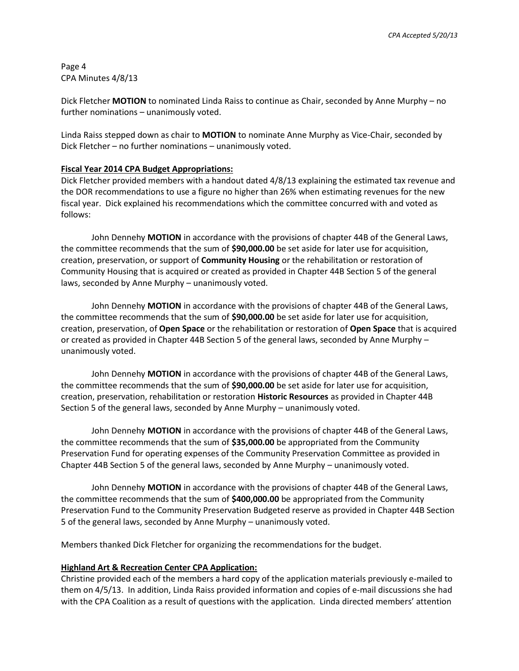Page 4 CPA Minutes 4/8/13

Dick Fletcher **MOTION** to nominated Linda Raiss to continue as Chair, seconded by Anne Murphy – no further nominations – unanimously voted.

Linda Raiss stepped down as chair to **MOTION** to nominate Anne Murphy as Vice-Chair, seconded by Dick Fletcher – no further nominations – unanimously voted.

#### **Fiscal Year 2014 CPA Budget Appropriations:**

Dick Fletcher provided members with a handout dated 4/8/13 explaining the estimated tax revenue and the DOR recommendations to use a figure no higher than 26% when estimating revenues for the new fiscal year. Dick explained his recommendations which the committee concurred with and voted as follows:

John Dennehy **MOTION** in accordance with the provisions of chapter 44B of the General Laws, the committee recommends that the sum of **\$90,000.00** be set aside for later use for acquisition, creation, preservation, or support of **Community Housing** or the rehabilitation or restoration of Community Housing that is acquired or created as provided in Chapter 44B Section 5 of the general laws, seconded by Anne Murphy – unanimously voted.

John Dennehy **MOTION** in accordance with the provisions of chapter 44B of the General Laws, the committee recommends that the sum of **\$90,000.00** be set aside for later use for acquisition, creation, preservation, of **Open Space** or the rehabilitation or restoration of **Open Space** that is acquired or created as provided in Chapter 44B Section 5 of the general laws, seconded by Anne Murphy – unanimously voted.

John Dennehy **MOTION** in accordance with the provisions of chapter 44B of the General Laws, the committee recommends that the sum of **\$90,000.00** be set aside for later use for acquisition, creation, preservation, rehabilitation or restoration **Historic Resources** as provided in Chapter 44B Section 5 of the general laws, seconded by Anne Murphy – unanimously voted.

John Dennehy **MOTION** in accordance with the provisions of chapter 44B of the General Laws, the committee recommends that the sum of **\$35,000.00** be appropriated from the Community Preservation Fund for operating expenses of the Community Preservation Committee as provided in Chapter 44B Section 5 of the general laws, seconded by Anne Murphy – unanimously voted.

John Dennehy **MOTION** in accordance with the provisions of chapter 44B of the General Laws, the committee recommends that the sum of **\$400,000.00** be appropriated from the Community Preservation Fund to the Community Preservation Budgeted reserve as provided in Chapter 44B Section 5 of the general laws, seconded by Anne Murphy – unanimously voted.

Members thanked Dick Fletcher for organizing the recommendations for the budget.

#### **Highland Art & Recreation Center CPA Application:**

Christine provided each of the members a hard copy of the application materials previously e-mailed to them on 4/5/13. In addition, Linda Raiss provided information and copies of e-mail discussions she had with the CPA Coalition as a result of questions with the application. Linda directed members' attention